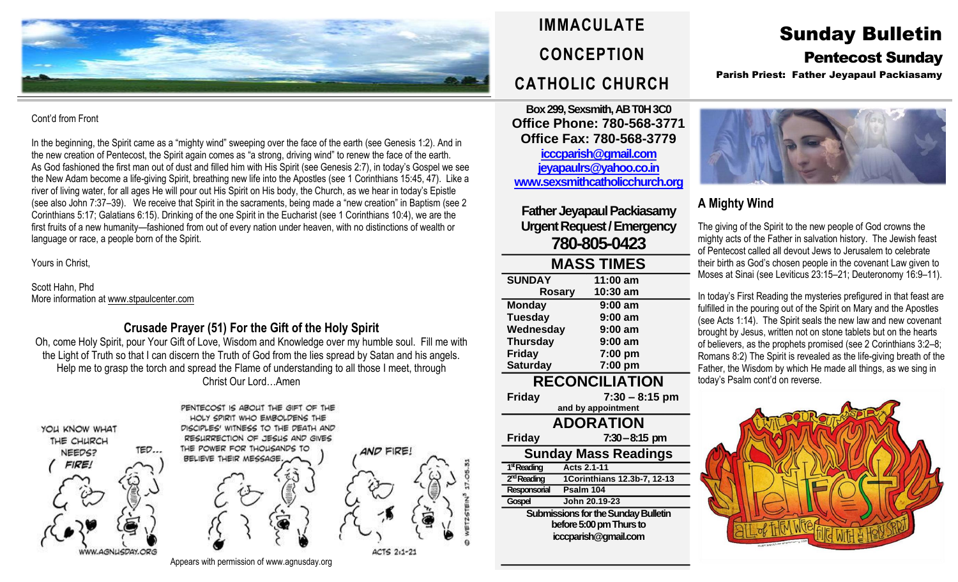

#### Cont'd from Front

In the beginning, the Spirit came as a "mighty wind" sweeping over the face of the earth (see Genesis 1:2). And in the new creation of Pentecost, the Spirit again comes as "a strong, driving wind" to renew the face of the earth. As God fashioned the first man out of dust and filled him with His Spirit (see Genesis 2:7), in today's Gospel we see the New Adam become a life-giving Spirit, breathing new life into the Apostles (see 1 Corinthians 15:45, 47). Like a river of living water, for all ages He will pour out His Spirit on His body, the Church, as we hear in today's Epistle (see also John 7:37–39). We receive that Spirit in the sacraments, being made a "new creation" in Baptism (see 2 Corinthians 5:17; Galatians 6:15). Drinking of the one Spirit in the Eucharist (see 1 Corinthians 10:4), we are the first fruits of a new humanity—fashioned from out of every nation under heaven, with no distinctions of wealth or language or race, a people born of the Spirit.

Yours in Christ,

Scott Hahn, Phd More information a[t www.stpaulcenter.com](http://www.stpaulcenter.com/)

# **Crusade Prayer (51) For the Gift of the Holy Spirit**

Oh, come Holy Spirit, pour Your Gift of Love, Wisdom and Knowledge over my humble soul. Fill me with the Light of Truth so that I can discern the Truth of God from the lies spread by Satan and his angels. Help me to grasp the torch and spread the Flame of understanding to all those I meet, through Christ Our Lord…Amen



**IMMACULATE CONCEPTION CATHOLIC CHURCH**

**Box 299, Sexsmith, AB T0H 3C0 Office Phone: 780-568-3771 Office Fax: 780-568-3779 [icccparish@gmail.com](mailto:icccparish@gmail.com) [jeyapaulrs@yahoo.co.in](mailto:jeyapaulrs@yahoo.co.in) [www.sexsmithcatholicchurch.org](http://www.sexsmithcatholicchurch.org/)**

**Father Jeyapaul Packiasamy Urgent Request/Emergency 780-805-0423**

#### **MASS TIMES SUNDAY 11:00 am**

| <b>Rosary</b>         | 10:30 am         |  |  |  |
|-----------------------|------------------|--|--|--|
| <b>Monday</b>         | $9:00$ am        |  |  |  |
| <b>Tuesday</b>        | $9:00$ am        |  |  |  |
| Wednesday             | $9:00$ am        |  |  |  |
| <b>Thursday</b>       | $9:00$ am        |  |  |  |
| <b>Friday</b>         | 7:00 pm          |  |  |  |
| <b>Saturday</b>       | 7:00 pm          |  |  |  |
| <b>RECONCILIATION</b> |                  |  |  |  |
| <b>Friday</b>         | $7:30 - 8:15$ pm |  |  |  |
| and by appointment    |                  |  |  |  |
| <b>ADORATION</b>      |                  |  |  |  |

**Friday 7:30–8:15 pm Sunday Mass Readings** 1<sup>st</sup> Reading **stReading Acts 2.1-11** 2<sup>nd</sup> Reading **ndReading 1Corinthians 12.3b-7, 12-13 Responsorial Psalm 104 Gospel John 20.19-23 Submissions for the Sunday Bulletin before 5:00 pm Thursto icccparish@gmail.com**

# Sunday Bulletin Pentecost Sunday

Parish Priest: Father Jeyapaul Packiasamy



# **A Mighty Wind**

The giving of the Spirit to the new people of God crowns the mighty acts of the Father in salvation history. The Jewish feast of Pentecost called all devout Jews to Jerusalem to celebrate their birth as God's chosen people in the covenant Law given to Moses at Sinai (see Leviticus 23:15–21; Deuteronomy 16:9–11).

In today's First Reading the mysteries prefigured in that feast are fulfilled in the pouring out of the Spirit on Mary and the Apostles (see Acts 1:14). The Spirit seals the new law and new covenant brought by Jesus, written not on stone tablets but on the hearts of believers, as the prophets promised (see 2 Corinthians 3:2–8; Romans 8:2) The Spirit is revealed as the life-giving breath of the Father, the Wisdom by which He made all things, as we sing in today's Psalm cont'd on reverse.



Appears with permission of www.agnusday.org